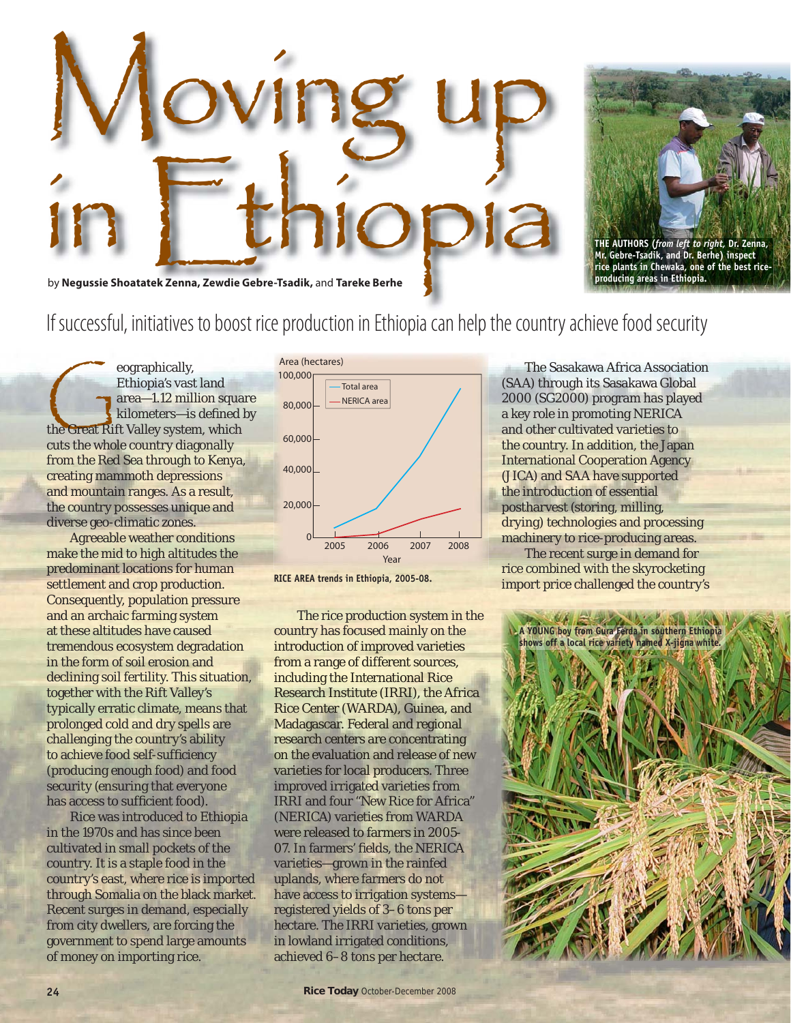



**THE AUTHORS (***from left to right,* **Dr. Zenna, Mr. Gebre-Tsadik, and Dr. Berhe) inspect rice plants in Chewaka, one of the best riceproducing areas in Ethiopia.** 

## If successful, initiatives to boost rice production in Ethiopia can help the country achieve food security

eographically,<br>
Ethiopia's vast land<br>
area—1.12 million squa<br>
kilometers—is defined<br>
the Great Rift Valley system, which Ethiopia's vast land area—1.12 million square kilometers-is defined by cuts the whole country diagonally from the Red Sea through to Kenya, creating mammoth depressions and mountain ranges. As a result, the country possesses unique and diverse geo-climatic zones.

Agreeable weather conditions make the mid to high altitudes the predominant locations for human settlement and crop production. Consequently, population pressure and an archaic farming system at these altitudes have caused tremendous ecosystem degradation in the form of soil erosion and declining soil fertility. This situation, together with the Rift Valley's typically erratic climate, means that prolonged cold and dry spells are challenging the country's ability to achieve food self-sufficiency (producing enough food) and food security (ensuring that everyone has access to sufficient food).

Rice was introduced to Ethiopia in the 1970s and has since been cultivated in small pockets of the country. It is a staple food in the country's east, where rice is imported through Somalia on the black market. Recent surges in demand, especially from city dwellers, are forcing the government to spend large amounts of money on importing rice.



**RICE AREA trends in Ethiopia, 2005-08.**

The rice production system in the country has focused mainly on the introduction of improved varieties from a range of different sources, including the International Rice Research Institute (IRRI), the Africa Rice Center (WARDA), Guinea, and Madagascar. Federal and regional research centers are concentrating on the evaluation and release of new varieties for local producers. Three improved irrigated varieties from IRRI and four "New Rice for Africa" (NERICA) varieties from WARDA were released to farmers in 2005- 07. In farmers' fields, the NERICA varieties—grown in the rainfed uplands, where farmers do not have access to irrigation systems registered yields of 3–6 tons per hectare. The IRRI varieties, grown in lowland irrigated conditions, achieved 6–8 tons per hectare.

The Sasakawa Africa Association (SAA) through its Sasakawa Global 2000 (SG2000) program has played a key role in promoting NERICA and other cultivated varieties to the country. In addition, the Japan International Cooperation Agency (JICA) and SAA have supported the introduction of essential postharvest (storing, milling, drying) technologies and processing machinery to rice-producing areas.

The recent surge in demand for rice combined with the skyrocketing import price challenged the country's